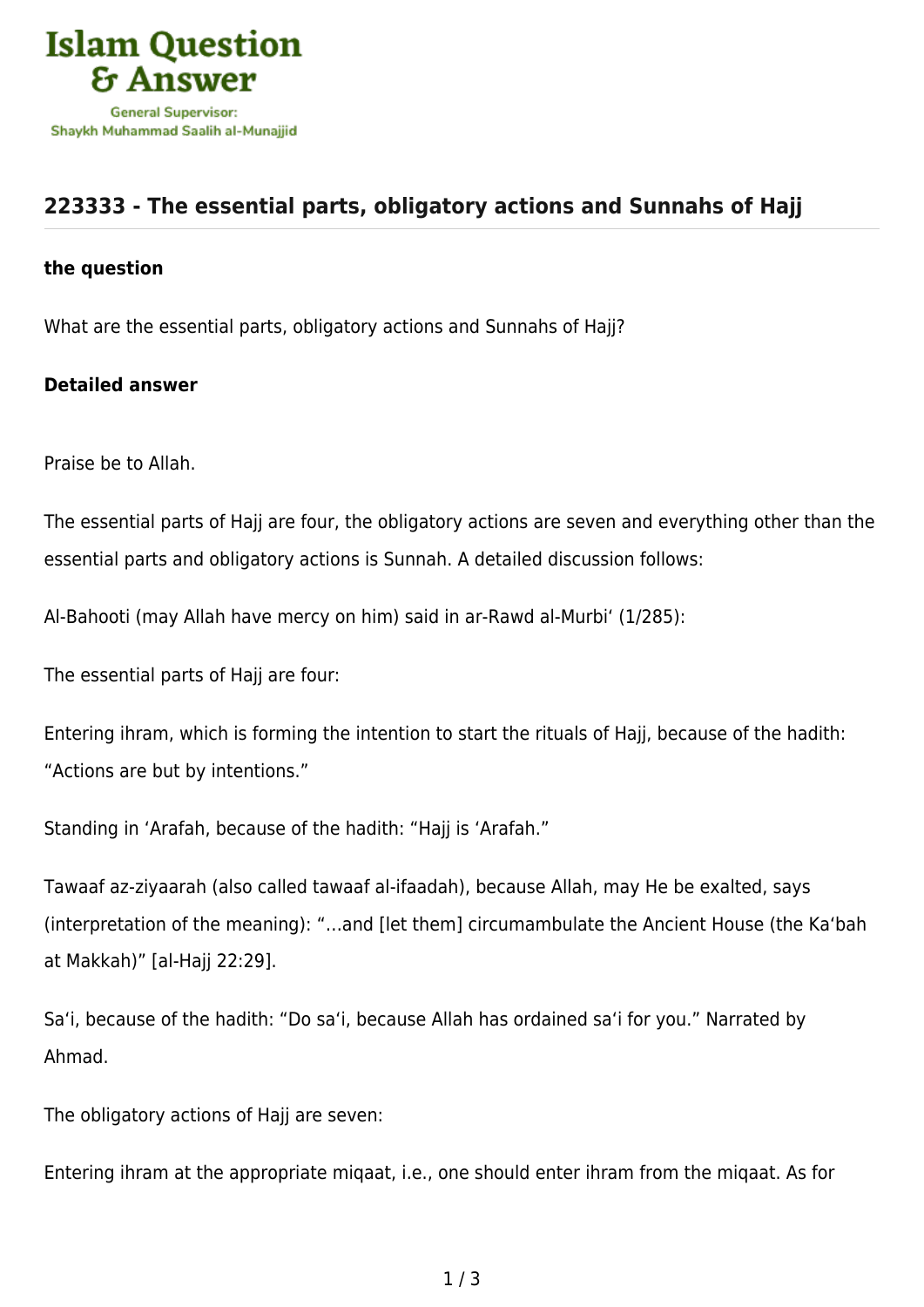

## **[223333 - The essential parts, obligatory actions and Sunnahs of Hajj](https://islamqa.com/en/answers/223333/the-essential-parts-obligatory-actions-and-sunnahs-of-hajj)**

## **the question**

What are the essential parts, obligatory actions and Sunnahs of Hajj?

## **Detailed answer**

Praise be to Allah.

The essential parts of Hajj are four, the obligatory actions are seven and everything other than the essential parts and obligatory actions is Sunnah. A detailed discussion follows:

Al-Bahooti (may Allah have mercy on him) said in ar-Rawd al-Murbi' (1/285):

The essential parts of Hajj are four:

Entering ihram, which is forming the intention to start the rituals of Hajj, because of the hadith: "Actions are but by intentions."

Standing in 'Arafah, because of the hadith: "Hajj is 'Arafah."

Tawaaf az-ziyaarah (also called tawaaf al-ifaadah), because Allah, may He be exalted, says (interpretation of the meaning): "…and [let them] circumambulate the Ancient House (the Ka'bah at Makkah)" [al-Hajj 22:29].

Sa'i, because of the hadith: "Do sa'i, because Allah has ordained sa'i for you." Narrated by Ahmad.

The obligatory actions of Hajj are seven:

Entering ihram at the appropriate miqaat, i.e., one should enter ihram from the miqaat. As for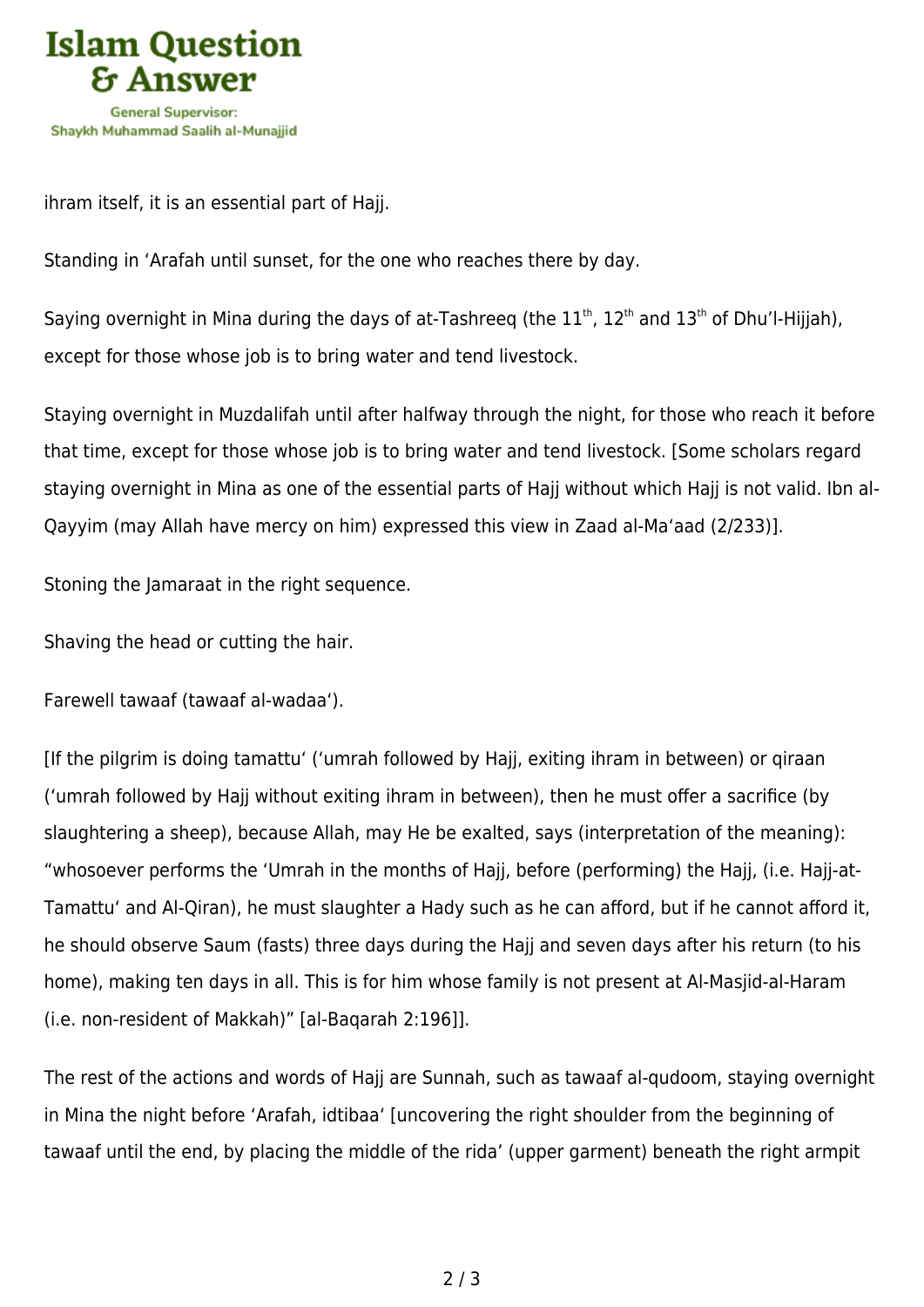

ihram itself, it is an essential part of Hajj.

Standing in 'Arafah until sunset, for the one who reaches there by day.

Saying overnight in Mina during the days of at-Tashreeg (the  $11<sup>th</sup>$ ,  $12<sup>th</sup>$  and  $13<sup>th</sup>$  of Dhu'l-Hijjah), except for those whose job is to bring water and tend livestock.

Staying overnight in Muzdalifah until after halfway through the night, for those who reach it before that time, except for those whose job is to bring water and tend livestock. [Some scholars regard staying overnight in Mina as one of the essential parts of Hajj without which Hajj is not valid. Ibn al-Qayyim (may Allah have mercy on him) expressed this view in Zaad al-Ma'aad (2/233)].

Stoning the Jamaraat in the right sequence.

Shaving the head or cutting the hair.

Farewell tawaaf (tawaaf al-wadaa').

[If the pilgrim is doing tamattu' ('umrah followed by Hajj, exiting ihram in between) or qiraan ('umrah followed by Hajj without exiting ihram in between), then he must offer a sacrifice (by slaughtering a sheep), because Allah, may He be exalted, says (interpretation of the meaning): "whosoever performs the 'Umrah in the months of Hajj, before (performing) the Hajj, (i.e. Hajj-at-Tamattu' and Al-Qiran), he must slaughter a Hady such as he can afford, but if he cannot afford it, he should observe Saum (fasts) three days during the Hajj and seven days after his return (to his home), making ten days in all. This is for him whose family is not present at Al-Masjid-al-Haram (i.e. non-resident of Makkah)" [al-Baqarah 2:196]].

The rest of the actions and words of Hajj are Sunnah, such as tawaaf al-qudoom, staying overnight in Mina the night before 'Arafah, idtibaa' [uncovering the right shoulder from the beginning of tawaaf until the end, by placing the middle of the rida' (upper garment) beneath the right armpit